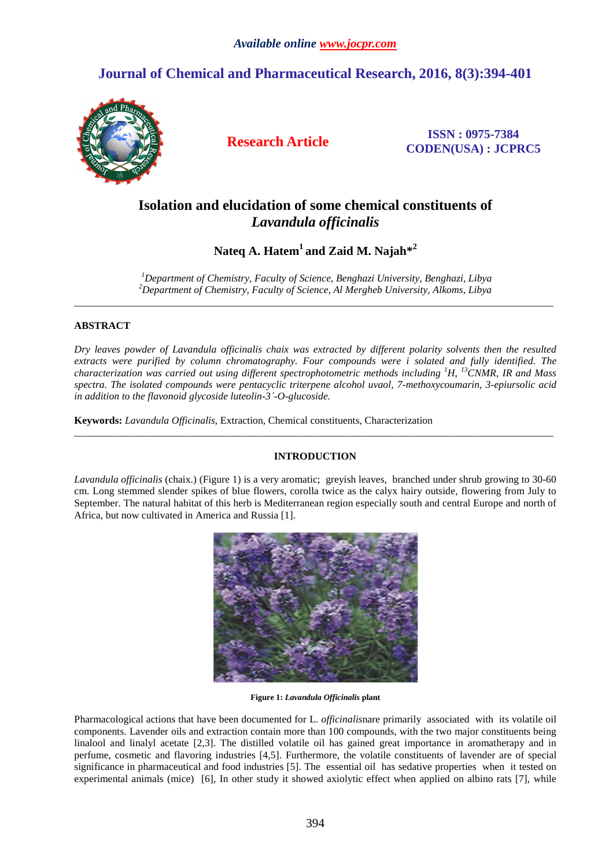# **Journal of Chemical and Pharmaceutical Research, 2016, 8(3):394-401**



**Research Article ISSN : 0975-7384 CODEN(USA) : JCPRC5**

# **Isolation and elucidation of some chemical constituents of**  *Lavandula officinalis*

**Nateq A. Hatem<sup>1</sup>and Zaid M. Najah\*<sup>2</sup>**

*<sup>1</sup>Department of Chemistry, Faculty of Science, Benghazi University, Benghazi, Libya <sup>2</sup>Department of Chemistry, Faculty of Science, Al Mergheb University, Alkoms, Libya* \_\_\_\_\_\_\_\_\_\_\_\_\_\_\_\_\_\_\_\_\_\_\_\_\_\_\_\_\_\_\_\_\_\_\_\_\_\_\_\_\_\_\_\_\_\_\_\_\_\_\_\_\_\_\_\_\_\_\_\_\_\_\_\_\_\_\_\_\_\_\_\_\_\_\_\_\_\_\_\_\_\_\_\_\_\_\_\_\_\_\_\_\_

## **ABSTRACT**

*Dry leaves powder of Lavandula officinalis chaix was extracted by different polarity solvents then the resulted extracts were purified by column chromatography. Four compounds were i solated and fully identified. The characterization was carried out using different spectrophotometric methods including <sup>1</sup>H, <sup>13</sup>CNMR, IR and Mass spectra. The isolated compounds were pentacyclic triterpene alcohol uvaol, 7-methoxycoumarin, 3-epiursolic acid in addition to the flavonoid glycoside luteolin-3ˊ-O-glucoside.* 

**Keywords:** *Lavandula Officinalis*, Extraction, Chemical constituents, Characterization

## **INTRODUCTION**

\_\_\_\_\_\_\_\_\_\_\_\_\_\_\_\_\_\_\_\_\_\_\_\_\_\_\_\_\_\_\_\_\_\_\_\_\_\_\_\_\_\_\_\_\_\_\_\_\_\_\_\_\_\_\_\_\_\_\_\_\_\_\_\_\_\_\_\_\_\_\_\_\_\_\_\_\_\_\_\_\_\_\_\_\_\_\_\_\_\_\_\_\_

*Lavandula officinalis* (chaix.) (Figure 1) is a very aromatic; greyish leaves, branched under shrub growing to 30-60 cm. Long stemmed slender spikes of blue flowers, corolla twice as the calyx hairy outside, flowering from July to September. The natural habitat of this herb is Mediterranean region especially south and central Europe and north of Africa, but now cultivated in America and Russia [1].



**Figure 1:** *Lavandula Officinalis* **plant** 

Pharmacological actions that have been documented for L. *officinalis*nare primarily associated with its volatile oil components. Lavender oils and extraction contain more than 100 compounds, with the two major constituents being linalool and linalyl acetate [2,3]. The distilled volatile oil has gained great importance in aromatherapy and in perfume, cosmetic and flavoring industries [4,5]. Furthermore, the volatile constituents of lavender are of special significance in pharmaceutical and food industries [5]. The essential oil has sedative properties when it tested on experimental animals (mice) [6], In other study it showed axiolytic effect when applied on albino rats [7], while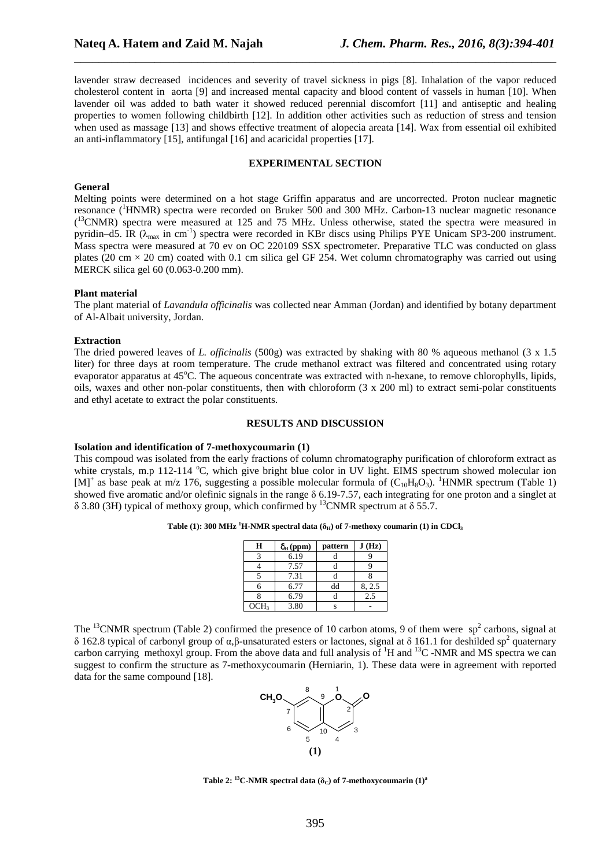lavender straw decreased incidences and severity of travel sickness in pigs [8]. Inhalation of the vapor reduced cholesterol content in aorta [9] and increased mental capacity and blood content of vassels in human [10]. When lavender oil was added to bath water it showed reduced perennial discomfort [11] and antiseptic and healing properties to women following childbirth [12]. In addition other activities such as reduction of stress and tension when used as massage [13] and shows effective treatment of alopecia areata [14]. Wax from essential oil exhibited an anti-inflammatory [15], antifungal [16] and acaricidal properties [17].

\_\_\_\_\_\_\_\_\_\_\_\_\_\_\_\_\_\_\_\_\_\_\_\_\_\_\_\_\_\_\_\_\_\_\_\_\_\_\_\_\_\_\_\_\_\_\_\_\_\_\_\_\_\_\_\_\_\_\_\_\_\_\_\_\_\_\_\_\_\_\_\_\_\_\_\_\_\_

### **EXPERIMENTAL SECTION**

#### **General**

Melting points were determined on a hot stage Griffin apparatus and are uncorrected. Proton nuclear magnetic resonance (<sup>1</sup>HNMR) spectra were recorded on Bruker 500 and 300 MHz. Carbon-13 nuclear magnetic resonance (<sup>13</sup>CNMR) spectra were measured at 125 and 75 MHz. Unless otherwise, stated the spectra were measured in pyridin–d5. IR ( $\lambda_{\text{max}}$  in cm<sup>-1</sup>) spectra were recorded in KBr discs using Philips PYE Unicam SP3-200 instrument. Mass spectra were measured at 70 ev on OC 220109 SSX spectrometer. Preparative TLC was conducted on glass plates (20 cm  $\times$  20 cm) coated with 0.1 cm silica gel GF 254. Wet column chromatography was carried out using MERCK silica gel 60 (0.063-0.200 mm).

#### **Plant material**

The plant material of *Lavandula officinalis* was collected near Amman (Jordan) and identified by botany department of Al-Albait university, Jordan.

#### **Extraction**

The dried powered leaves of *L. officinalis* (500g) was extracted by shaking with 80 % aqueous methanol (3 x 1.5 liter) for three days at room temperature. The crude methanol extract was filtered and concentrated using rotary evaporator apparatus at  $45^{\circ}$ C. The aqueous concentrate was extracted with n-hexane, to remove chlorophylls, lipids, oils, waxes and other non-polar constituents, then with chloroform (3 x 200 ml) to extract semi-polar constituents and ethyl acetate to extract the polar constituents.

#### **RESULTS AND DISCUSSION**

#### **Isolation and identification of 7-methoxycoumarin (1)**

This compoud was isolated from the early fractions of column chromatography purification of chloroform extract as white crystals, m.p 112-114  $^{\circ}$ C, which give bright blue color in UV light. EIMS spectrum showed molecular ion  $[M]^+$  as base peak at m/z 176, suggesting a possible molecular formula of  $(C_{10}H_8O_3)$ . <sup>1</sup>HNMR spectrum (Table 1) showed five aromatic and/or olefinic signals in the range  $\delta$  6.19-7.57, each integrating for one proton and a singlet at  $\delta$  3.80 (3H) typical of methoxy group, which confirmed by <sup>13</sup>CNMR spectrum at  $\delta$  55.7.

|  |  |  | Table (1): 300 MHz <sup>1</sup> H-NMR spectral data ( $\delta_H$ ) of 7-methoxy coumarin (1) in CDCl <sub>3</sub> |
|--|--|--|-------------------------------------------------------------------------------------------------------------------|
|--|--|--|-------------------------------------------------------------------------------------------------------------------|

| H                | $\delta_{\rm H}$ (ppm) | pattern | J(Hz)  |
|------------------|------------------------|---------|--------|
|                  | 6.19                   |         |        |
|                  | 7.57                   |         |        |
|                  | 7.31                   |         |        |
| 6                | 6.77                   | dd      | 8, 2.5 |
|                  | 6.79                   |         | 2.5    |
| OCH <sub>3</sub> | 3.80                   |         |        |

The  $^{13}$ CNMR spectrum (Table 2) confirmed the presence of 10 carbon atoms, 9 of them were sp<sup>2</sup> carbons, signal at δ 162.8 typical of carbonyl group of α,β-unsaturated esters or lactones, signal at δ 161.1 for deshilded sp<sup>2</sup> quaternary carbon carrying methoxyl group. From the above data and full analysis of <sup>1</sup>H and <sup>13</sup>C -NMR and MS spectra we can suggest to confirm the structure as 7-methoxycoumarin (Herniarin, 1). These data were in agreement with reported data for the same compound [18].



**Table 2:** <sup>13</sup>**C-NMR** spectral data ( $\delta$ <sup>*c*</sup>) of 7-methoxycoumarin (1)<sup>a</sup>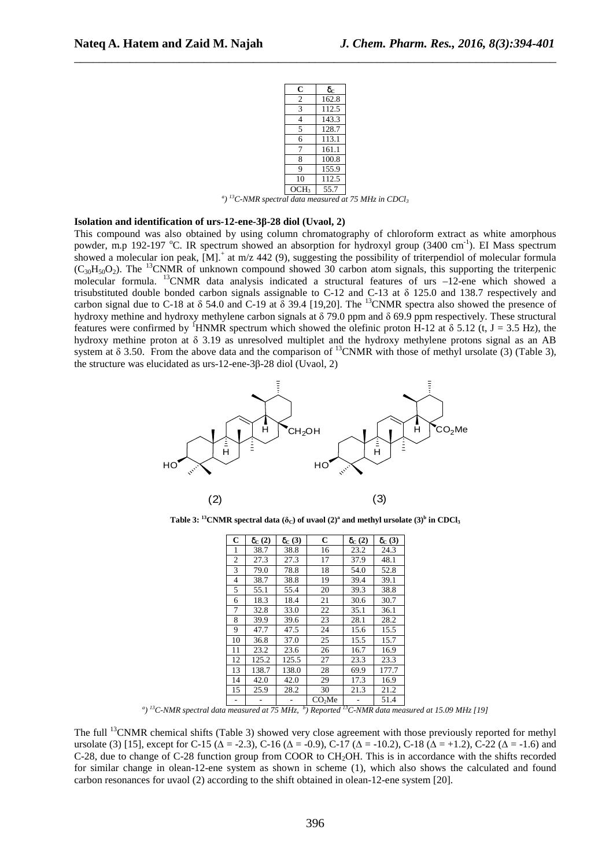| C              | $\delta_{\rm C}$ |
|----------------|------------------|
| $rac{2}{3}$    | 162.8            |
|                | 112.5            |
| 4              | 143.3            |
| 5              | 128.7            |
| 6              | 113.1            |
| $\overline{7}$ | 161.1            |
| 8              | 100.8            |
| 9              | 155.9            |
| 10             | 112.5            |
| CH3            | 55.7             |

OCH3 55.7 *a ) <sup>13</sup>C-NMR spectral data measured at 75 MHz in CDCl<sup>3</sup>*

### **Isolation and identification of urs-12-ene-3β-28 diol (Uvaol, 2)**

This compound was also obtained by using column chromatography of chloroform extract as white amorphous powder, m.p 192-197 °C. IR spectrum showed an absorption for hydroxyl group (3400 cm<sup>-1</sup>). EI Mass spectrum showed a molecular ion peak,  $[M]$ <sup>+</sup> at m/z 442 (9), suggesting the possibility of triterpendiol of molecular formula  $(C_{30}H_{50}O_2)$ . The <sup>13</sup>CNMR of unknown compound showed 30 carbon atom signals, this supporting the triterpenic molecular formula. <sup>13</sup>CNMR data analysis indicated a structural features of urs –12-ene which showed a trisubstituted double bonded carbon signals assignable to C-12 and C-13 at δ 125.0 and 138.7 respectively and carbon signal due to C-18 at  $\delta$  54.0 and C-19 at  $\delta$  39.4 [19,20]. The <sup>13</sup>CNMR spectra also showed the presence of hydroxy methine and hydroxy methylene carbon signals at  $\delta$  79.0 ppm and  $\delta$  69.9 ppm respectively. These structural features were confirmed by <sup>1</sup>HNMR spectrum which showed the olefinic proton H-12 at  $\delta$  5.12 (t, J = 3.5 Hz), the hydroxy methine proton at  $\delta$  3.19 as unresolved multiplet and the hydroxy methylene protons signal as an AB system at  $\delta$  3.50. From the above data and the comparison of <sup>13</sup>CNMR with those of methyl ursolate (3) (Table 3), the structure was elucidated as urs-12-ene-3β-28 diol (Uvaol, 2)



**Table 3:** <sup>13</sup>**CNMR** spectral data ( $\delta$ <sub>C</sub>) of uvaol (2)<sup>a</sup> and methyl ursolate (3)<sup>b</sup> in CDCl<sub>3</sub>

| C              | $\delta_{\rm C}$ (2) | $\delta_{\rm C}(3)$ | $\mathbf C$        | $\delta_{\rm C}$ (2) | $\delta_{\rm C}(3)$ |
|----------------|----------------------|---------------------|--------------------|----------------------|---------------------|
| 1              | 38.7                 | 38.8                | 16                 | 23.2                 | 24.3                |
| $\overline{c}$ | 27.3                 | 27.3                | 17                 | 37.9                 | 48.1                |
| 3              | 79.0                 | 78.8                | 18                 | 54.0                 | 52.8                |
| 4              | 38.7                 | 38.8                | 19                 | 39.4                 | 39.1                |
| 5              | 55.1                 | 55.4                | 20                 | 39.3                 | 38.8                |
| 6              | 18.3                 | 18.4                | 21                 | 30.6                 | 30.7                |
| 7              | 32.8                 | 33.0                | 22                 | 35.1                 | 36.1                |
| 8              | 39.9                 | 39.6                | 23                 | 28.1                 | 28.2                |
| 9              | 47.7                 | 47.5                | 24                 | 15.6                 | 15.5                |
| 10             | 36.8                 | 37.0                | 25                 | 15.5                 | 15.7                |
| 11             | 23.2                 | 23.6                | 26                 | 16.7                 | 16.9                |
| 12             | 125.2                | 125.5               | 27                 | 23.3                 | 23.3                |
| 13             | 138.7                | 138.0               | 28                 | 69.9                 | 177.7               |
| 14             | 42.0                 | 42.0                | 29                 | 17.3                 | 16.9                |
| 15             | 25.9                 | 28.2                | 30                 | 21.3                 | 21.2                |
|                |                      |                     | CO <sub>2</sub> Me |                      | 51.4                |

<sup>a</sup>) <sup>13</sup>*C-NMR spectral data measured at 75 MHz,* <sup>*b*</sup>) *Reported* <sup>13</sup>*C-NMR data measured at 15.09 MHz [19]* 

The full <sup>13</sup>CNMR chemical shifts (Table 3) showed very close agreement with those previously reported for methyl ursolate (3) [15], except for C-15 ( $\Delta = -2.3$ ), C-16 ( $\Delta = -0.9$ ), C-17 ( $\Delta = -10.2$ ), C-18 ( $\Delta = +1.2$ ), C-22 ( $\Delta = -1.6$ ) and C-28, due to change of C-28 function group from COOR to CH<sub>2</sub>OH. This is in accordance with the shifts recorded for similar change in olean-12-ene system as shown in scheme (1), which also shows the calculated and found carbon resonances for uvaol (2) according to the shift obtained in olean-12-ene system [20].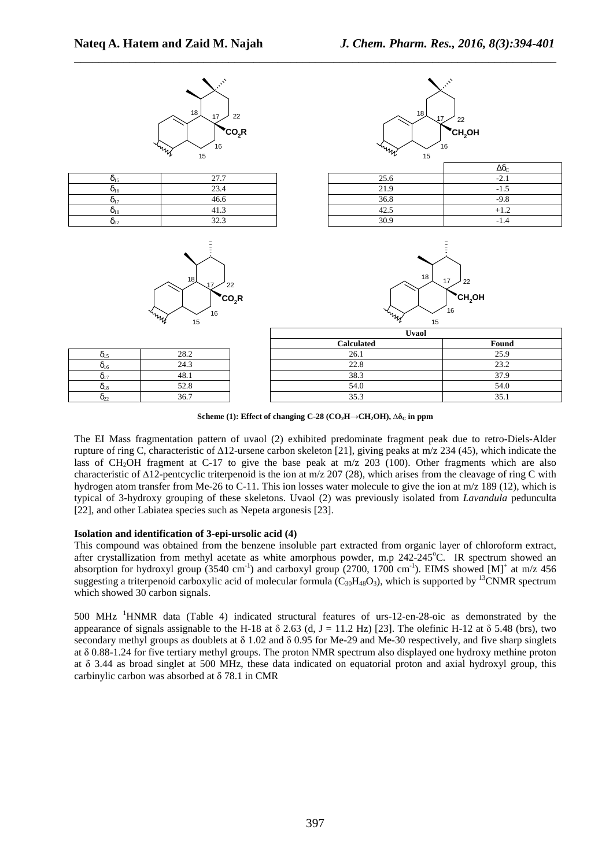

**Scheme (1): Effect of changing C-28 (CO<sub>2</sub><sup>H</sup>** $\rightarrow$ **CH<sub>2</sub>OH),**  $\Delta \delta$ **<sup>C</sup> in ppm** 

The EI Mass fragmentation pattern of uvaol (2) exhibited predominate fragment peak due to retro-Diels-Alder rupture of ring C, characteristic of ∆12-ursene carbon skeleton [21], giving peaks at m/z 234 (45), which indicate the lass of CH<sub>2</sub>OH fragment at C-17 to give the base peak at m/z 203 (100). Other fragments which are also characteristic of ∆12-pentcyclic triterpenoid is the ion at m/z 207 (28), which arises from the cleavage of ring C with hydrogen atom transfer from Me-26 to C-11. This ion losses water molecule to give the ion at m/z 189 (12), which is typical of 3-hydroxy grouping of these skeletons. Uvaol (2) was previously isolated from *Lavandula* pedunculta [22], and other Labiatea species such as Nepeta argonesis [23].

### **Isolation and identification of 3-epi-ursolic acid (4)**

This compound was obtained from the benzene insoluble part extracted from organic layer of chloroform extract, after crystallization from methyl acetate as white amorphous powder, m.p  $242{\text -}245^{\circ}\text{C}$ . IR spectrum showed an absorption for hydroxyl group (3540 cm<sup>-1</sup>) and carboxyl group (2700, 1700 cm<sup>-1</sup>). EIMS showed [M]<sup>+</sup> at m/z 456 suggesting a triterpenoid carboxylic acid of molecular formula  $(C_{30}H_{48}O_3)$ , which is supported by <sup>13</sup>CNMR spectrum which showed 30 carbon signals.

500 MHz <sup>1</sup>HNMR data (Table 4) indicated structural features of urs-12-en-28-oic as demonstrated by the appearance of signals assignable to the H-18 at  $\delta$  2.63 (d, J = 11.2 Hz) [23]. The olefinic H-12 at  $\delta$  5.48 (brs), two secondary methyl groups as doublets at  $\delta$  1.02 and  $\delta$  0.95 for Me-29 and Me-30 respectively, and five sharp singlets at δ 0.88-1.24 for five tertiary methyl groups. The proton NMR spectrum also displayed one hydroxy methine proton at δ 3.44 as broad singlet at 500 MHz, these data indicated on equatorial proton and axial hydroxyl group, this carbinylic carbon was absorbed at δ 78.1 in CMR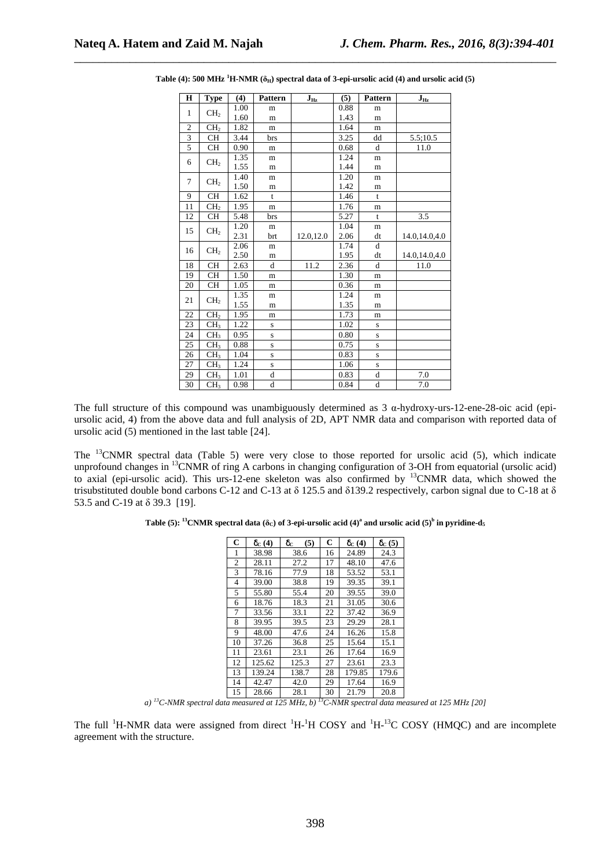| $\mathbf H$    | <b>Type</b>     | (4)  | <b>Pattern</b> | $\mathbf{J}_{\mathbf{Hz}}$ | (5)  | <b>Pattern</b> | $J_{\rm Hz}$  |
|----------------|-----------------|------|----------------|----------------------------|------|----------------|---------------|
| $\mathbf{1}$   |                 | 1.00 | m              |                            | 0.88 | m              |               |
|                | CH <sub>2</sub> | 1.60 | m              |                            | 1.43 | m              |               |
| $\overline{c}$ | CH <sub>2</sub> | 1.82 | m              |                            | 1.64 | m              |               |
| 3              | CH              | 3.44 | brs            |                            | 3.25 | dd             | 5.5;10.5      |
| 5              | <b>CH</b>       | 0.90 | m              |                            | 0.68 | d              | 11.0          |
| 6              |                 | 1.35 | m              |                            | 1.24 | m              |               |
|                | CH <sub>2</sub> | 1.55 | m              |                            | 1.44 | m              |               |
| 7              |                 | 1.40 | m              |                            | 1.20 | m              |               |
|                | CH <sub>2</sub> | 1.50 | m              |                            | 1.42 | m              |               |
| 9              | <b>CH</b>       | 1.62 | $\mathbf{t}$   |                            | 1.46 | t              |               |
| 11             | CH <sub>2</sub> | 1.95 | m              |                            | 1.76 | m              |               |
| 12             | <b>CH</b>       | 5.48 | brs            |                            | 5.27 | t              | 3.5           |
| 15             |                 | 1.20 | m              |                            | 1.04 | m              |               |
|                | CH <sub>2</sub> | 2.31 | brt            | 12.0,12.0                  | 2.06 | dt             | 14.0,14.0,4.0 |
| 16             |                 | 2.06 | m              |                            | 1.74 | d              |               |
|                | CH <sub>2</sub> | 2.50 | m              |                            | 1.95 | dt             | 14.0,14.0,4.0 |
| 18             | CH              | 2.63 | d              | 11.2                       | 2.36 | d              | 11.0          |
| 19             | <b>CH</b>       | 1.50 | m              |                            | 1.30 | m              |               |
| 20             | <b>CH</b>       | 1.05 | m              |                            | 0.36 | m              |               |
| 21             |                 | 1.35 | m              |                            | 1.24 | m              |               |
|                | CH <sub>2</sub> | 1.55 | m              |                            | 1.35 | m              |               |
| 22             | CH <sub>2</sub> | 1.95 | m              |                            | 1.73 | m              |               |
| 23             | CH <sub>3</sub> | 1.22 | S              |                            | 1.02 | $\mathbf S$    |               |
| 24             | CH <sub>3</sub> | 0.95 | S              |                            | 0.80 | ${\bf S}$      |               |
| 25             | CH <sub>3</sub> | 0.88 | S              |                            | 0.75 | S              |               |
| 26             | CH <sub>3</sub> | 1.04 | S              |                            | 0.83 | S              |               |
| 27             | CH <sub>3</sub> | 1.24 | S              |                            | 1.06 | $\mathbf S$    |               |
| 29             | CH <sub>3</sub> | 1.01 | $\mathbf d$    |                            | 0.83 | $\rm d$        | 7.0           |
| 30             | CH <sub>3</sub> | 0.98 | $\mathbf d$    |                            | 0.84 | $\overline{d}$ | 7.0           |

**Table (4): 500 MHz <sup>1</sup>H-NMR (** $\delta$ **<sub>H</sub>) spectral data of 3-epi-ursolic acid (4) and ursolic acid (5)** 

\_\_\_\_\_\_\_\_\_\_\_\_\_\_\_\_\_\_\_\_\_\_\_\_\_\_\_\_\_\_\_\_\_\_\_\_\_\_\_\_\_\_\_\_\_\_\_\_\_\_\_\_\_\_\_\_\_\_\_\_\_\_\_\_\_\_\_\_\_\_\_\_\_\_\_\_\_\_

The full structure of this compound was unambiguously determined as  $3 \alpha$ -hydroxy-urs-12-ene-28-oic acid (epiursolic acid, 4) from the above data and full analysis of 2D, APT NMR data and comparison with reported data of ursolic acid (5) mentioned in the last table [24].

The <sup>13</sup>CNMR spectral data (Table 5) were very close to those reported for ursolic acid (5), which indicate unprofound changes in <sup>13</sup>CNMR of ring A carbons in changing configuration of 3-OH from equatorial (ursolic acid) to axial (epi-ursolic acid). This urs-12-ene skeleton was also confirmed by <sup>13</sup>CNMR data, which showed the trisubstituted double bond carbons C-12 and C-13 at δ 125.5 and δ139.2 respectively, carbon signal due to C-18 at δ 53.5 and C-19 at δ 39.3 [19].

**Table (5): <sup>13</sup>CNMR spectral data (** $\delta$ **<sub>C</sub>) of 3-epi-ursolic acid (4)<sup>a</sup> and ursolic acid (5)<sup>b</sup> in pyridine-d<sub>5</sub>** 

| C              | $\delta_{\rm C}(4)$ | $\delta_{\rm C}$<br>(5) | $\mathbf C$ | $\delta_{\rm C}(4)$ | $\delta_{\rm C}$ (5) |
|----------------|---------------------|-------------------------|-------------|---------------------|----------------------|
| 1              | 38.98               | 38.6                    | 16          | 24.89               | 24.3                 |
| $\overline{c}$ | 28.11               | 27.2                    | 17          | 48.10               | 47.6                 |
| 3              | 78.16               | 77.9                    | 18          | 53.52               | 53.1                 |
| 4              | 39.00               | 38.8                    | 19          | 39.35               | 39.1                 |
| 5              | 55.80               | 55.4                    | 20          | 39.55               | 39.0                 |
| 6              | 18.76               | 18.3                    | 21          | 31.05               | 30.6                 |
| 7              | 33.56               | 33.1                    | 22          | 37.42               | 36.9                 |
| 8              | 39.95               | 39.5                    | 23          | 29.29               | 28.1                 |
| 9              | 48.00               | 47.6                    | 24          | 16.26               | 15.8                 |
| 10             | 37.26               | 36.8                    | 25          | 15.64               | 15.1                 |
| 11             | 23.61               | 23.1                    | 26          | 17.64               | 16.9                 |
| 12             | 125.62              | 125.3                   | 27          | 23.61               | 23.3                 |
| 13             | 139.24              | 138.7                   | 28          | 179.85              | 179.6                |
| 14             | 42.47               | 42.0                    | 29          | 17.64               | 16.9                 |
| 15             | 28.66               | 28.1                    | 30          | 21.79               | 20.8                 |

*a) <sup>13</sup>C-NMR spectral data measured at 125 MHz, b) <sup>13</sup>C-NMR spectral data measured at 125 MHz [20]* 

The full <sup>1</sup>H-NMR data were assigned from direct <sup>1</sup>H-<sup>1</sup>H COSY and <sup>1</sup>H-<sup>13</sup>C COSY (HMQC) and are incomplete agreement with the structure.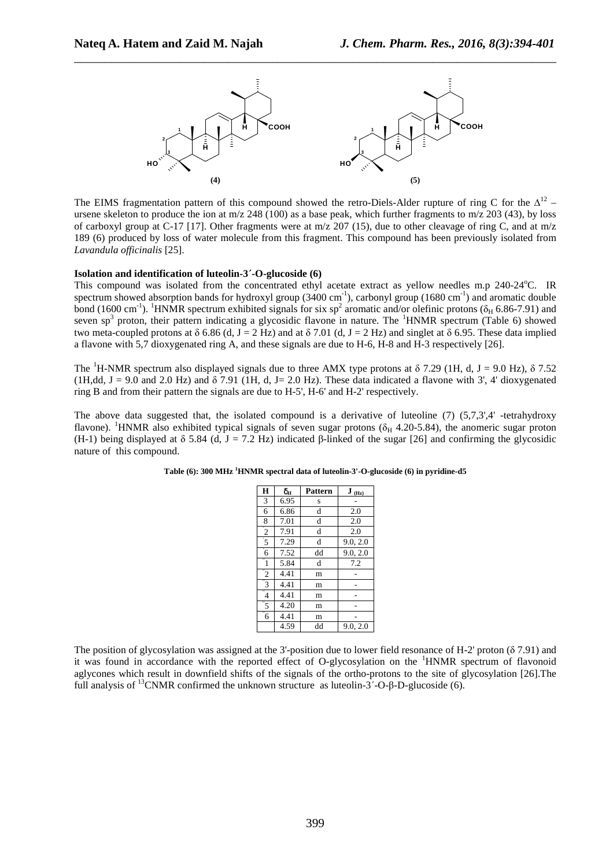

The EIMS fragmentation pattern of this compound showed the retro-Diels-Alder rupture of ring C for the  $\Delta^{12}$  – ursene skeleton to produce the ion at m/z 248 (100) as a base peak, which further fragments to m/z 203 (43), by loss of carboxyl group at C-17 [17]. Other fragments were at  $m/z$  207 (15), due to other cleavage of ring C, and at  $m/z$ 189 (6) produced by loss of water molecule from this fragment. This compound has been previously isolated from *Lavandula officinalis* [25].

#### **Isolation and identification of luteolin-3ˊ-O-glucoside (6)**

This compound was isolated from the concentrated ethyl acetate extract as yellow needles m.p 240-24<sup>o</sup>C. IR spectrum showed absorption bands for hydroxyl group  $(3400 \text{ cm}^{-1})$ , carbonyl group  $(1680 \text{ cm}^{-1})$  and aromatic double bond (1600 cm<sup>-1</sup>). <sup>1</sup>HNMR spectrum exhibited signals for six sp<sup>2</sup> aromatic and/or olefinic protons ( $\delta_H$  6.86-7.91) and seven sp<sup>3</sup> proton, their pattern indicating a glycosidic flavone in nature. The <sup>1</sup>HNMR spectrum (Table 6) showed two meta-coupled protons at δ 6.86 (d, J = 2 Hz) and at δ 7.01 (d, J = 2 Hz) and singlet at δ 6.95. These data implied a flavone with 5,7 dioxygenated ring A, and these signals are due to H-6, H-8 and H-3 respectively [26].

The <sup>1</sup>H-NMR spectrum also displayed signals due to three AMX type protons at  $\delta$  7.29 (1H, d, J = 9.0 Hz),  $\delta$  7.52 (1H,dd, J = 9.0 and 2.0 Hz) and  $\delta$  7.91 (1H, d, J = 2.0 Hz). These data indicated a flavone with 3', 4' dioxygenated ring B and from their pattern the signals are due to H-5', H-6' and H-2' respectively.

The above data suggested that, the isolated compound is a derivative of luteoline  $(7)$   $(5,7,3',4'$ -tetrahydroxy flavone). <sup>1</sup>HNMR also exhibited typical signals of seven sugar protons ( $\delta_H$  4.20-5.84), the anomeric sugar proton (H-1) being displayed at  $\delta$  5.84 (d, J = 7.2 Hz) indicated β-linked of the sugar [26] and confirming the glycosidic nature of this compound.

| H                    | $\delta_{\rm H}$ | <b>Pattern</b> | $J_{(Hz)}$ |
|----------------------|------------------|----------------|------------|
| 3                    | 6.95             | S              |            |
| 6                    | 6.86             | d              | 2.0        |
| 8                    | 7.01             | d              | 2.0        |
| $\overline{2}$       | 7.91             | d              | 2.0        |
| $\overline{5}$       | 7.29             | d              | 9.0, 2.0   |
| $\overline{6}$       | 7.52             | dd             | 9.0, 2.0   |
| $\overline{1}$       | 5.84             | d              | 7.2        |
| $\overline{2}$       | 4.41             | m              |            |
| $\degree{3}$         | 4.41             | m              |            |
| $\overline{4}$       | 4.41             | m              |            |
| "5                   | 4.20             | m              |            |
| $\overline{''}$<br>6 | 4.41             | m              |            |
|                      | 4.59             | dd             | 9.0, 2.0   |

| Table (6): 300 MHz <sup>1</sup> HNMR spectral data of luteolin-3'-O-glucoside (6) in pyridine-d5 |  |  |
|--------------------------------------------------------------------------------------------------|--|--|
|                                                                                                  |  |  |

The position of glycosylation was assigned at the 3'-position due to lower field resonance of H-2' proton (δ 7.91) and it was found in accordance with the reported effect of O-glycosylation on the  ${}^{1}$ HNMR spectrum of flavonoid aglycones which result in downfield shifts of the signals of the ortho-protons to the site of glycosylation [26].The full analysis of <sup>13</sup>CNMR confirmed the unknown structure as luteolin- $3'-O-B-D$ -glucoside (6).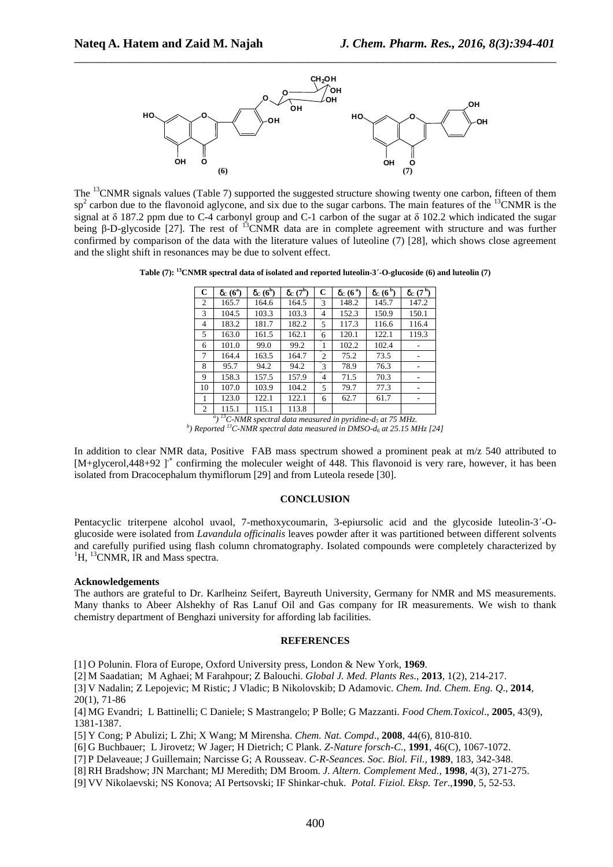

The <sup>13</sup>CNMR signals values (Table 7) supported the suggested structure showing twenty one carbon, fifteen of them  $sp<sup>2</sup>$  carbon due to the flavonoid aglycone, and six due to the sugar carbons. The main features of the  $^{13}$ CNMR is the signal at δ 187.2 ppm due to C-4 carbonyl group and C-1 carbon of the sugar at δ 102.2 which indicated the sugar being β-D-glycoside [27]. The rest of <sup>13</sup>CNMR data are in complete agreement with structure and was further confirmed by comparison of the data with the literature values of luteoline (7) [28], which shows close agreement and the slight shift in resonances may be due to solvent effect.

**Table (7): <sup>13</sup>CNMR spectral data of isolated and reported luteolin-3ˊ-O-glucoside (6) and luteolin (7)** 

| C              | $\delta_{\rm C}$ (6 <sup>a</sup> ) | $\delta_{C}$ (6 <sup>b</sup> ) | $\delta_{\rm C}$ (7 <sup>b</sup> ) | C                      | $\delta_{C}(6^{\text{a}})$ | $\delta_{C}$ (6 <sup>b</sup> )                                                   | $\delta_C$ (7 <sup>b</sup> ) |
|----------------|------------------------------------|--------------------------------|------------------------------------|------------------------|----------------------------|----------------------------------------------------------------------------------|------------------------------|
| 2              | 165.7                              | 164.6                          | 164.5                              | ิ้ว                    | 148.2                      | 145.7                                                                            | 147.2                        |
| 3              | 104.5                              | 103.3                          | 103.3                              | 4                      | 152.3                      | 150.9                                                                            | 150.1                        |
| 4              | 183.2                              | 181.7                          | 182.2                              | $\overline{5}$         | 117.3                      | 116.6                                                                            | 116.4                        |
| 5              | 163.0                              | 161.5                          | 162.1                              | $\overline{6}$         | 120.1                      | 122.1                                                                            | 119.3                        |
| 6              | 101.0                              | 99.0                           | 99.2                               | 1                      | 102.2                      | 102.4                                                                            |                              |
| 7              | 164.4                              | 163.5                          | 164.7                              | $\overline{2}$         | 75.2                       | 73.5                                                                             |                              |
| 8              | 95.7                               | 94.2                           | 94.2                               | $\overline{\text{3}}$  | 78.9                       | 76.3                                                                             |                              |
| 9              | 158.3                              | 157.5                          | 157.9                              | $\overline{4}$         | 71.5                       | 70.3                                                                             |                              |
| 10             | 107.0                              | 103.9                          | 104.2                              | $\overline{5}$         | 79.7                       | 77.3                                                                             |                              |
| T              | 123.0                              | 122.1                          | 122.1                              | $^{\prime\prime}$<br>6 | 62.7                       | 61.7                                                                             |                              |
| $\overline{2}$ | 115.1                              | 115.1                          | 113.8                              |                        |                            |                                                                                  |                              |
|                | a <sub>1</sub>                     |                                |                                    |                        |                            | <sup>13</sup> C-NMR spectral data measured in pyridine-d <sub>5</sub> at 75 MHz. |                              |

*b ) Reported <sup>13</sup>C-NMR spectral data measured in DMSO-d6 at 25.15 MHz [24]*

In addition to clear NMR data, Positive FAB mass spectrum showed a prominent peak at m/z 540 attributed to [M+glycerol,448+92 ]<sup>+</sup> confirming the moleculer weight of 448. This flavonoid is very rare, however, it has been isolated from Dracocephalum thymiflorum [29] and from Luteola resede [30].

#### **CONCLUSION**

Pentacyclic triterpene alcohol uvaol, 7-methoxycoumarin, 3-epiursolic acid and the glycoside luteolin-3ˊ-Oglucoside were isolated from *Lavandula officinalis* leaves powder after it was partitioned between different solvents and carefully purified using flash column chromatography. Isolated compounds were completely characterized by  ${}^{1}$ H,  ${}^{13}$ CNMR, IR and Mass spectra.

#### **Acknowledgements**

The authors are grateful to Dr. Karlheinz Seifert, Bayreuth University, Germany for NMR and MS measurements. Many thanks to Abeer Alshekhy of Ras Lanuf Oil and Gas company for IR measurements. We wish to thank chemistry department of Benghazi university for affording lab facilities.

#### **REFERENCES**

[1] O Polunin. Flora of Europe, Oxford University press, London & New York, **1969**.

[2] M Saadatian; M Aghaei; M Farahpour; Z Balouchi. *Global J. Med. Plants Res*., **2013**, 1(2), 214-217.

[3] V Nadalin; Z Lepojevic; M Ristic; J Vladic; B Nikolovskib; D Adamovic. *Chem. Ind. Chem. Eng. Q*., **2014**, 20(1), 71-86

[4] MG Evandri; L Battinelli; C Daniele; S Mastrangelo; P Bolle; G Mazzanti. *Food Chem.Toxicol*., **2005**, 43(9), 1381-1387.

[5] Y Cong; P Abulizi; L Zhi; X Wang; M Mirensha. *Chem. Nat. Compd*., **2008**, 44(6), 810-810.

[6] G Buchbauer; L Jirovetz; W Jager; H Dietrich; C Plank. *Z-Nature forsch-C*., **1991**, 46(C), 1067-1072.

[7] P Delaveaue; J Guillemain; Narcisse G; A Rousseav. *C-R-Seances. Soc. Biol. Fil.,* **1989**, 183, 342-348.

[8] RH Bradshow; JN Marchant; MJ Meredith; DM Broom. *J. Altern. Complement Med.,* **1998**, 4(3), 271-275.

[9] VV Nikolaevski; NS Konova; AI Pertsovski; IF Shinkar-chuk. *Potal. Fiziol. Eksp. Ter*.,**1990**, 5, 52-53.